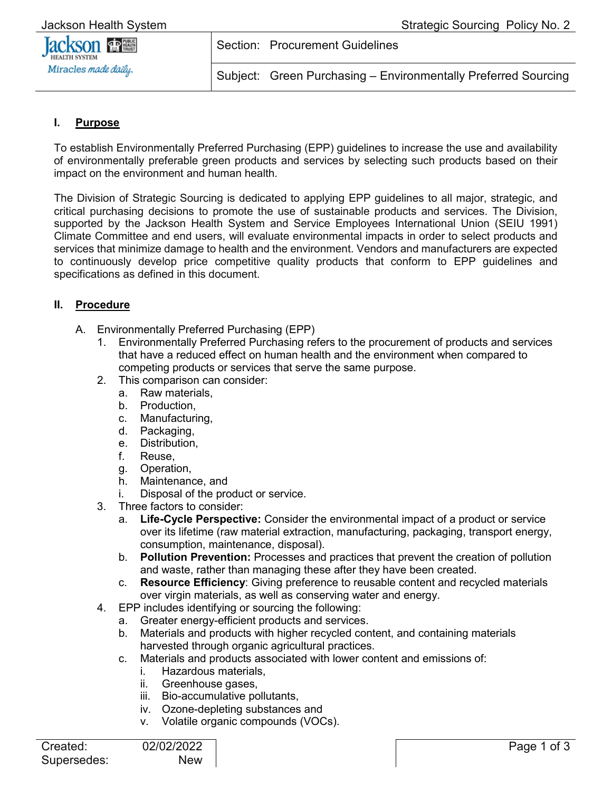

Subject: Green Purchasing – Environmentally Preferred Sourcing

## **I. Purpose**

To establish Environmentally Preferred Purchasing (EPP) guidelines to increase the use and availability of environmentally preferable green products and services by selecting such products based on their impact on the environment and human health.

Section: Procurement Guidelines

The Division of Strategic Sourcing is dedicated to applying EPP guidelines to all major, strategic, and critical purchasing decisions to promote the use of sustainable products and services. The Division, supported by the Jackson Health System and Service Employees International Union (SEIU 1991) Climate Committee and end users, will evaluate environmental impacts in order to select products and services that minimize damage to health and the environment. Vendors and manufacturers are expected to continuously develop price competitive quality products that conform to EPP guidelines and specifications as defined in this document.

## **II. Procedure**

- A. Environmentally Preferred Purchasing (EPP)
	- 1. Environmentally Preferred Purchasing refers to the procurement of products and services that have a reduced effect on human health and the environment when compared to competing products or services that serve the same purpose.
	- 2. This comparison can consider:
		- a. Raw materials,
		- b. Production,
		- c. Manufacturing,
		- d. Packaging,
		- e. Distribution,
		- f. Reuse,
		- g. Operation,
		- h. Maintenance, and
		- i. Disposal of the product or service.
	- 3. Three factors to consider:
		- a. **Life-Cycle Perspective:** Consider the environmental impact of a product or service over its lifetime (raw material extraction, manufacturing, packaging, transport energy, consumption, maintenance, disposal).
		- b. **Pollution Prevention:** Processes and practices that prevent the creation of pollution and waste, rather than managing these after they have been created.
		- c. **Resource Efficiency**: Giving preference to reusable content and recycled materials over virgin materials, as well as conserving water and energy.
	- 4. EPP includes identifying or sourcing the following:
		- a. Greater energy-efficient products and services.
		- b. Materials and products with higher recycled content, and containing materials harvested through organic agricultural practices.
		- c. Materials and products associated with lower content and emissions of:
			- i. Hazardous materials,
			- ii. Greenhouse gases,
			- iii. Bio-accumulative pollutants,
			- iv. Ozone-depleting substances and
			- v. Volatile organic compounds (VOCs).

| Created:    | 02 |
|-------------|----|
| Supersedes: |    |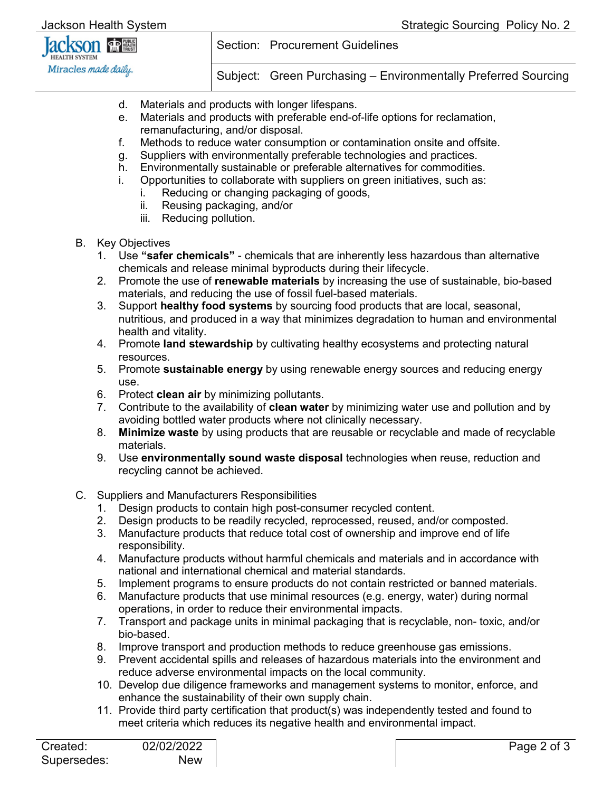

Section: Procurement Guidelines

Subject: Green Purchasing – Environmentally Preferred Sourcing

- d. Materials and products with longer lifespans.
- e. Materials and products with preferable end-of-life options for reclamation, remanufacturing, and/or disposal.
- f. Methods to reduce water consumption or contamination onsite and offsite.
- g. Suppliers with environmentally preferable technologies and practices.
- h. Environmentally sustainable or preferable alternatives for commodities.
- i. Opportunities to collaborate with suppliers on green initiatives, such as:
	- i. Reducing or changing packaging of goods, ij Reusing packaging and/or
		- Reusing packaging, and/or
		- iii. Reducing pollution.
- B. Key Objectives
	- 1. Use **"safer chemicals"** chemicals that are inherently less hazardous than alternative chemicals and release minimal byproducts during their lifecycle.
	- 2. Promote the use of **renewable materials** by increasing the use of sustainable, bio-based materials, and reducing the use of fossil fuel-based materials.
	- 3. Support **healthy food systems** by sourcing food products that are local, seasonal, nutritious, and produced in a way that minimizes degradation to human and environmental health and vitality.
	- 4. Promote **land stewardship** by cultivating healthy ecosystems and protecting natural resources.
	- 5. Promote **sustainable energy** by using renewable energy sources and reducing energy use.
	- 6. Protect **clean air** by minimizing pollutants.
	- 7. Contribute to the availability of **clean water** by minimizing water use and pollution and by avoiding bottled water products where not clinically necessary.
	- 8. **Minimize waste** by using products that are reusable or recyclable and made of recyclable materials.
	- 9. Use **environmentally sound waste disposal** technologies when reuse, reduction and recycling cannot be achieved.
- C. Suppliers and Manufacturers Responsibilities
	- 1. Design products to contain high post-consumer recycled content.
	- 2. Design products to be readily recycled, reprocessed, reused, and/or composted.
	- 3. Manufacture products that reduce total cost of ownership and improve end of life responsibility.
	- 4. Manufacture products without harmful chemicals and materials and in accordance with national and international chemical and material standards.
	- 5. Implement programs to ensure products do not contain restricted or banned materials.
	- 6. Manufacture products that use minimal resources (e.g. energy, water) during normal operations, in order to reduce their environmental impacts.
	- 7. Transport and package units in minimal packaging that is recyclable, non- toxic, and/or bio-based.
	- 8. Improve transport and production methods to reduce greenhouse gas emissions.
	- 9. Prevent accidental spills and releases of hazardous materials into the environment and reduce adverse environmental impacts on the local community.
	- 10. Develop due diligence frameworks and management systems to monitor, enforce, and enhance the sustainability of their own supply chain.
	- 11. Provide third party certification that product(s) was independently tested and found to meet criteria which reduces its negative health and environmental impact.